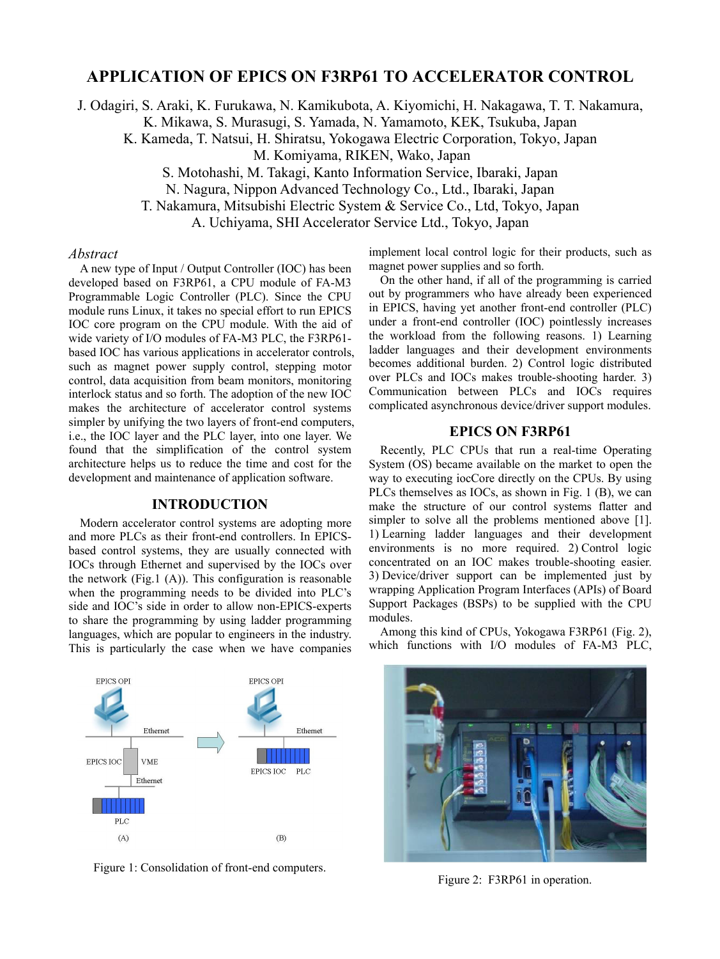# **APPLICATION OF EPICS ON F3RP61 TO ACCELERATOR CONTROL**

J. Odagiri, S. Araki, K. Furukawa, N. Kamikubota, A. Kiyomichi, H. Nakagawa, T. T. Nakamura,

K. Mikawa, S. Murasugi, S. Yamada, N. Yamamoto, KEK, Tsukuba, Japan

K. Kameda, T. Natsui, H. Shiratsu, Yokogawa Electric Corporation, Tokyo, Japan

M. Komiyama, RIKEN, Wako, Japan

S. Motohashi, M. Takagi, Kanto Information Service, Ibaraki, Japan

N. Nagura, Nippon Advanced Technology Co., Ltd., Ibaraki, Japan

T. Nakamura, Mitsubishi Electric System & Service Co., Ltd, Tokyo, Japan

A. Uchiyama, SHI Accelerator Service Ltd., Tokyo, Japan

#### *Abstract*

A new type of Input / Output Controller (IOC) has been developed based on F3RP61, a CPU module of FA-M3 Programmable Logic Controller (PLC). Since the CPU module runs Linux, it takes no special effort to run EPICS IOC core program on the CPU module. With the aid of wide variety of I/O modules of FA-M3 PLC, the F3RP61 based IOC has various applications in accelerator controls, such as magnet power supply control, stepping motor control, data acquisition from beam monitors, monitoring interlock status and so forth. The adoption of the new IOC makes the architecture of accelerator control systems simpler by unifying the two layers of front-end computers, i.e., the IOC layer and the PLC layer, into one layer. We found that the simplification of the control system architecture helps us to reduce the time and cost for the development and maintenance of application software.

#### **INTRODUCTION**

Modern accelerator control systems are adopting more and more PLCs as their front-end controllers. In EPICSbased control systems, they are usually connected with IOCs through Ethernet and supervised by the IOCs over the network (Fig.1 (A)). This configuration is reasonable when the programming needs to be divided into PLC's side and IOC's side in order to allow non-EPICS-experts to share the programming by using ladder programming languages, which are popular to engineers in the industry. This is particularly the case when we have companies

implement local control logic for their products, such as magnet power supplies and so forth.

On the other hand, if all of the programming is carried out by programmers who have already been experienced in EPICS, having yet another front-end controller (PLC) under a front-end controller (IOC) pointlessly increases the workload from the following reasons. 1) Learning ladder languages and their development environments becomes additional burden. 2) Control logic distributed over PLCs and IOCs makes trouble-shooting harder. 3) Communication between PLCs and IOCs requires complicated asynchronous device/driver support modules.

## **EPICS ON F3RP61**

Recently, PLC CPUs that run a real-time Operating System (OS) became available on the market to open the way to executing iocCore directly on the CPUs. By using PLCs themselves as IOCs, as shown in Fig. 1 (B), we can make the structure of our control systems flatter and simpler to solve all the problems mentioned above [1]. 1) Learning ladder languages and their development environments is no more required. 2) Control logic concentrated on an IOC makes trouble-shooting easier. 3) Device/driver support can be implemented just by wrapping Application Program Interfaces (APIs) of Board Support Packages (BSPs) to be supplied with the CPU modules.

Among this kind of CPUs, Yokogawa F3RP61 (Fig. 2), which functions with I/O modules of FA-M3 PLC,



Figure 1: Consolidation of front-end computers.



Figure 2: F3RP61 in operation.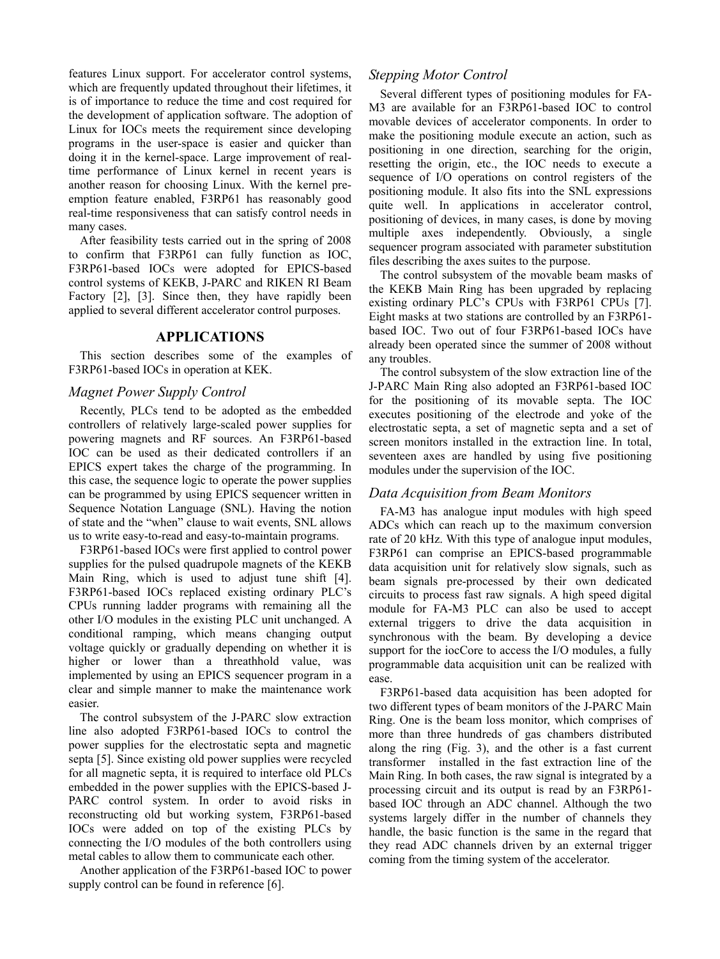features Linux support. For accelerator control systems, which are frequently updated throughout their lifetimes, it is of importance to reduce the time and cost required for the development of application software. The adoption of Linux for IOCs meets the requirement since developing programs in the user-space is easier and quicker than doing it in the kernel-space. Large improvement of realtime performance of Linux kernel in recent years is another reason for choosing Linux. With the kernel preemption feature enabled, F3RP61 has reasonably good real-time responsiveness that can satisfy control needs in many cases.

After feasibility tests carried out in the spring of 2008 to confirm that F3RP61 can fully function as IOC, F3RP61-based IOCs were adopted for EPICS-based control systems of KEKB, J-PARC and RIKEN RI Beam Factory [2], [3]. Since then, they have rapidly been applied to several different accelerator control purposes.

### **APPLICATIONS**

This section describes some of the examples of F3RP61-based IOCs in operation at KEK.

### *Magnet Power Supply Control*

Recently, PLCs tend to be adopted as the embedded controllers of relatively large-scaled power supplies for powering magnets and RF sources. An F3RP61-based IOC can be used as their dedicated controllers if an EPICS expert takes the charge of the programming. In this case, the sequence logic to operate the power supplies can be programmed by using EPICS sequencer written in Sequence Notation Language (SNL). Having the notion of state and the "when" clause to wait events, SNL allows us to write easy-to-read and easy-to-maintain programs.

F3RP61-based IOCs were first applied to control power supplies for the pulsed quadrupole magnets of the KEKB Main Ring, which is used to adjust tune shift [4]. F3RP61-based IOCs replaced existing ordinary PLC's CPUs running ladder programs with remaining all the other I/O modules in the existing PLC unit unchanged. A conditional ramping, which means changing output voltage quickly or gradually depending on whether it is higher or lower than a threathhold value, was implemented by using an EPICS sequencer program in a clear and simple manner to make the maintenance work easier.

The control subsystem of the J-PARC slow extraction line also adopted F3RP61-based IOCs to control the power supplies for the electrostatic septa and magnetic septa [5]. Since existing old power supplies were recycled for all magnetic septa, it is required to interface old PLCs embedded in the power supplies with the EPICS-based J-PARC control system. In order to avoid risks in reconstructing old but working system, F3RP61-based IOCs were added on top of the existing PLCs by connecting the I/O modules of the both controllers using metal cables to allow them to communicate each other.

Another application of the F3RP61-based IOC to power supply control can be found in reference [6].

### *Stepping Motor Control*

Several different types of positioning modules for FA-M3 are available for an F3RP61-based IOC to control movable devices of accelerator components. In order to make the positioning module execute an action, such as positioning in one direction, searching for the origin, resetting the origin, etc., the IOC needs to execute a sequence of I/O operations on control registers of the positioning module. It also fits into the SNL expressions quite well. In applications in accelerator control, positioning of devices, in many cases, is done by moving multiple axes independently. Obviously, a single sequencer program associated with parameter substitution files describing the axes suites to the purpose.

The control subsystem of the movable beam masks of the KEKB Main Ring has been upgraded by replacing existing ordinary PLC's CPUs with F3RP61 CPUs [7]. Eight masks at two stations are controlled by an F3RP61 based IOC. Two out of four F3RP61-based IOCs have already been operated since the summer of 2008 without any troubles.

The control subsystem of the slow extraction line of the J-PARC Main Ring also adopted an F3RP61-based IOC for the positioning of its movable septa. The IOC executes positioning of the electrode and yoke of the electrostatic septa, a set of magnetic septa and a set of screen monitors installed in the extraction line. In total, seventeen axes are handled by using five positioning modules under the supervision of the IOC.

### *Data Acquisition from Beam Monitors*

FA-M3 has analogue input modules with high speed ADCs which can reach up to the maximum conversion rate of 20 kHz. With this type of analogue input modules, F3RP61 can comprise an EPICS-based programmable data acquisition unit for relatively slow signals, such as beam signals pre-processed by their own dedicated circuits to process fast raw signals. A high speed digital module for FA-M3 PLC can also be used to accept external triggers to drive the data acquisition in synchronous with the beam. By developing a device support for the iocCore to access the I/O modules, a fully programmable data acquisition unit can be realized with ease.

F3RP61-based data acquisition has been adopted for two different types of beam monitors of the J-PARC Main Ring. One is the beam loss monitor, which comprises of more than three hundreds of gas chambers distributed along the ring (Fig. 3), and the other is a fast current transformer installed in the fast extraction line of the Main Ring. In both cases, the raw signal is integrated by a processing circuit and its output is read by an F3RP61 based IOC through an ADC channel. Although the two systems largely differ in the number of channels they handle, the basic function is the same in the regard that they read ADC channels driven by an external trigger coming from the timing system of the accelerator.